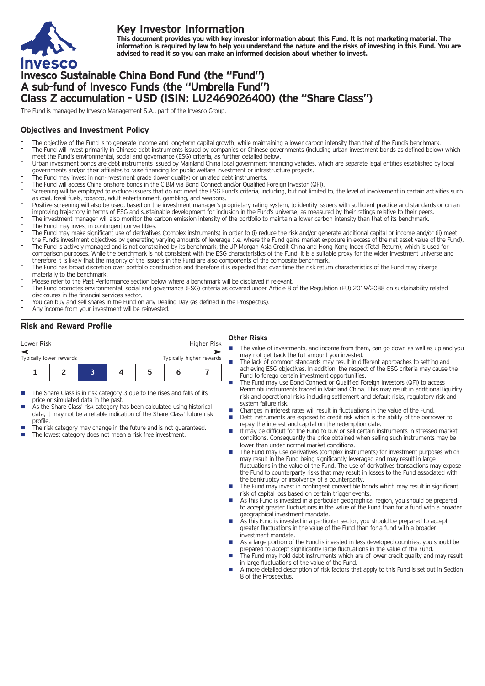

# **Key Investor Information**

This document provides you with key investor information about this Fund. It is not marketing material. The information is required by law to help you understand the nature and the risks of investing in this Fund. You are **advised to read it so you can make an informed decision about whether to invest.**

# **Invesco Sustainable China Bond Fund (the "Fund") A sub-fund of Invesco Funds (the "Umbrella Fund") Class Z accumulation - USD (ISIN: LU2469026400) (the "Share Class")**

The Fund is managed by Invesco Management S.A., part of the Invesco Group.

## **Objectives and Investment Policy**

- The objective of the Fund is to generate income and long-term capital growth, while maintaining a lower carbon intensity than that of the Fund's benchmark. The Fund will invest primarily in Chinese debt instruments issued by companies or Chinese governments (including urban investment bonds as defined below) which meet the Fund's environmental, social and governance (ESG) criteria, as further detailed below.
- Urban investment bonds are debt instruments issued by Mainland China local government financing vehicles, which are separate legal entities established by local governments and/or their affiliates to raise financing for public welfare investment or infrastructure projects.
- The Fund may invest in non-investment grade (lower quality) or unrated debt instruments.
- The Fund will access China onshore bonds in the CIBM via Bond Connect and/or Qualified Foreign Investor (QFI).
- Screening will be employed to exclude issuers that do not meet the ESG Fund's criteria, including, but not limited to, the level of involvement in certain activities such as coal, fossil fuels, tobacco, adult entertainment, gambling, and weapons.
- Positive screening will also be used, based on the investment manager's proprietary rating system, to identify issuers with sufficient practice and standards or on an improving trajectory in terms of ESG and sustainable development for inclusion in the Fund's universe, as measured by their ratings relative to their peers.
- The investment manager will also monitor the carbon emission intensity of the portfolio to maintain a lower carbon intensity than that of its benchmark.
- The Fund may invest in contingent convertibles.
- The Fund may make significant use of derivatives (complex instruments) in order to (i) reduce the risk and/or generate additional capital or income and/or (ii) meet the Fund's investment objectives by generating varying amounts of leverage (i.e. where the Fund gains market exposure in excess of the net asset value of the Fund).
- The Fund is actively managed and is not constrained by its benchmark, the JP Morgan Asia Credit China and Hong Kong Index (Total Return), which is used for comparison purposes. While the benchmark is not consistent with the ESG characteristics of the Fund, it is a suitable proxy for the wider investment universe and therefore it is likely that the majority of the issuers in the Fund are also components of the composite benchmark.
- The Fund has broad discretion over portfolio construction and therefore it is expected that over time the risk return characteristics of the Fund may diverge materially to the benchmark.
- Please refer to the Past Performance section below where a benchmark will be displayed if relevant.
- The Fund promotes environmental, social and governance (ESG) criteria as covered under Article 8 of the Regulation (EU) 2019/2088 on sustainability related disclosures in the financial services sector.
- You can buy and sell shares in the Fund on any Dealing Day (as defined in the Prospectus).
- Any income from your investment will be reinvested.

## **Risk and Reward Profile**

| Lower Risk                                          |  |  |  |   | Higher Risk |  |  |
|-----------------------------------------------------|--|--|--|---|-------------|--|--|
| Typically higher rewards<br>Typically lower rewards |  |  |  |   |             |  |  |
|                                                     |  |  |  | 5 |             |  |  |

- The Share Class is in risk category 3 due to the rises and falls of its price or simulated data in the past.
- As the Share Class' risk category has been calculated using historical data, it may not be a reliable indication of the Share Class' future risk profile.
- The risk category may change in the future and is not guaranteed.
- The lowest category does not mean a risk free investment.

#### **Other Risks**

- $\blacksquare$  The value of investments, and income from them, can go down as well as up and you may not get back the full amount you invested.
- The lack of common standards may result in different approaches to setting and achieving ESG objectives. In addition, the respect of the ESG criteria may cause the Fund to forego certain investment opportunities.
- n The Fund may use Bond Connect or Qualified Foreign Investors (QFI) to access Renminbi instruments traded in Mainland China. This may result in additional liquidity risk and operational risks including settlement and default risks, regulatory risk and system failure risk.
- Changes in interest rates will result in fluctuations in the value of the Fund.
- Debt instruments are exposed to credit risk which is the ability of the borrower to repay the interest and capital on the redemption date.
- It may be difficult for the Fund to buy or sell certain instruments in stressed market conditions. Consequently the price obtained when selling such instruments may be lower than under normal market conditions.
- The Fund may use derivatives (complex instruments) for investment purposes which may result in the Fund being significantly leveraged and may result in large fluctuations in the value of the Fund. The use of derivatives transactions may expose the Fund to counterparty risks that may result in losses to the Fund associated with the bankruptcy or insolvency of a counterparty.
- $\blacksquare$  The Fund may invest in contingent convertible bonds which may result in significant risk of capital loss based on certain trigger events.
- As this Fund is invested in a particular geographical region, you should be prepared to accept greater fluctuations in the value of the Fund than for a fund with a broader geographical investment mandate.
- As this Fund is invested in a particular sector, you should be prepared to accept greater fluctuations in the value of the Fund than for a fund with a broader investment mandate.
- As a large portion of the Fund is invested in less developed countries, you should be prepared to accept significantly large fluctuations in the value of the Fund.
- The Fund may hold debt instruments which are of lower credit quality and may result in large fluctuations of the value of the Fund.
- n A more detailed description of risk factors that apply to this Fund is set out in Section 8 of the Prospectus.